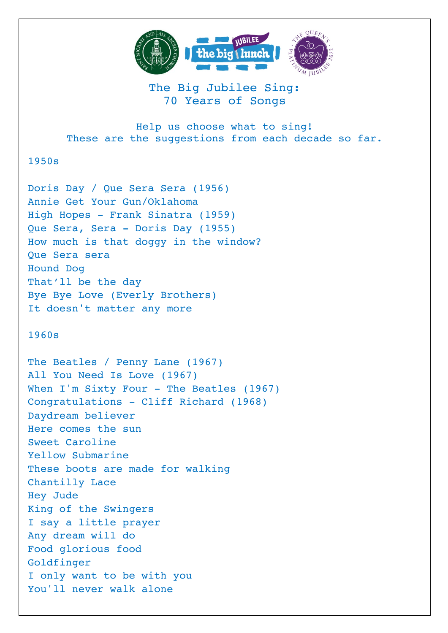

## The Big Jubilee Sing: 70 Years of Songs

Help us choose what to sing! These are the suggestions from each decade so far.

## 1950s

Doris Day / Que Sera Sera (1956) Annie Get Your Gun/Oklahoma High Hopes - Frank Sinatra (1959) Que Sera, Sera - Doris Day (1955) How much is that doggy in the window? Que Sera sera Hound Dog That'll be the day Bye Bye Love (Everly Brothers) It doesn't matter any more

## 1960s

The Beatles / Penny Lane (1967) All You Need Is Love (1967) When I'm Sixty Four - The Beatles (1967) Congratulations - Cliff Richard (1968) Daydream believer Here comes the sun Sweet Caroline Yellow Submarine These boots are made for walking Chantilly Lace Hey Jude King of the Swingers I say a little prayer Any dream will do Food glorious food Goldfinger I only want to be with you You'll never walk alone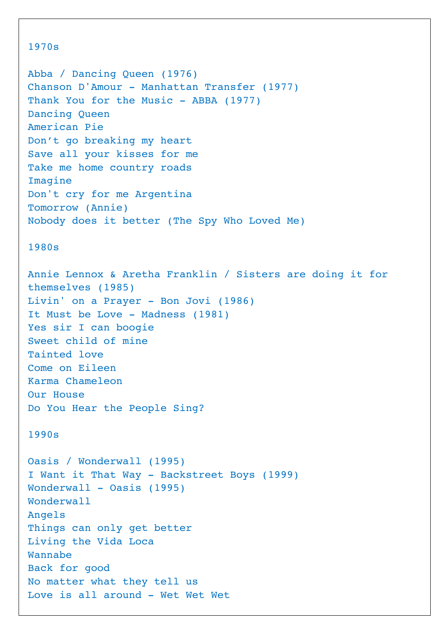```
1970s
Abba / Dancing Queen (1976)
Chanson D'Amour - Manhattan Transfer (1977)
Thank You for the Music - ABBA (1977)
Dancing Queen
American Pie
Don't go breaking my heart
Save all your kisses for me
Take me home country roads
Imagine
Don't cry for me Argentina
Tomorrow (Annie)
Nobody does it better (The Spy Who Loved Me)
1980s
Annie Lennox & Aretha Franklin / Sisters are doing it for 
themselves (1985)
Livin' on a Prayer - Bon Jovi (1986)
It Must be Love - Madness (1981)
Yes sir I can boogie
Sweet child of mine
Tainted love
Come on Eileen
Karma Chameleon
Our House
Do You Hear the People Sing?
1990s
Oasis / Wonderwall (1995)
I Want it That Way - Backstreet Boys (1999)
Wonderwall - Oasis (1995)
Wonderwall
Angels
Things can only get better 
Living the Vida Loca
Wannabe
Back for good
No matter what they tell us
Love is all around - Wet Wet Wet
```